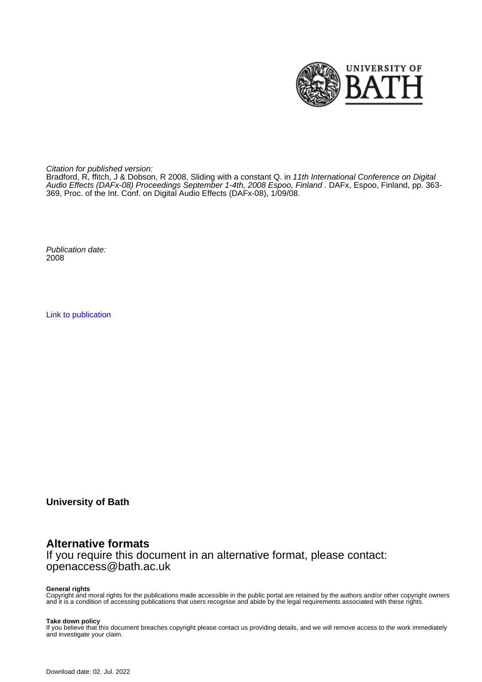

Citation for published version:

Bradford, R, ffitch, J & Dobson, R 2008, Sliding with a constant Q. in 11th International Conference on Digital Audio Effects (DAFx-08) Proceedings September 1-4th, 2008 Espoo, Finland . DAFx, Espoo, Finland, pp. 363- 369, Proc. of the Int. Conf. on Digital Audio Effects (DAFx-08), 1/09/08.

Publication date: 2008

[Link to publication](https://researchportal.bath.ac.uk/en/publications/sliding-with-a-constant-q(afd93f32-df3f-4d86-a239-1aa6af726ce6).html)

**University of Bath**

# **Alternative formats**

If you require this document in an alternative format, please contact: openaccess@bath.ac.uk

#### **General rights**

Copyright and moral rights for the publications made accessible in the public portal are retained by the authors and/or other copyright owners and it is a condition of accessing publications that users recognise and abide by the legal requirements associated with these rights.

#### **Take down policy**

If you believe that this document breaches copyright please contact us providing details, and we will remove access to the work immediately and investigate your claim.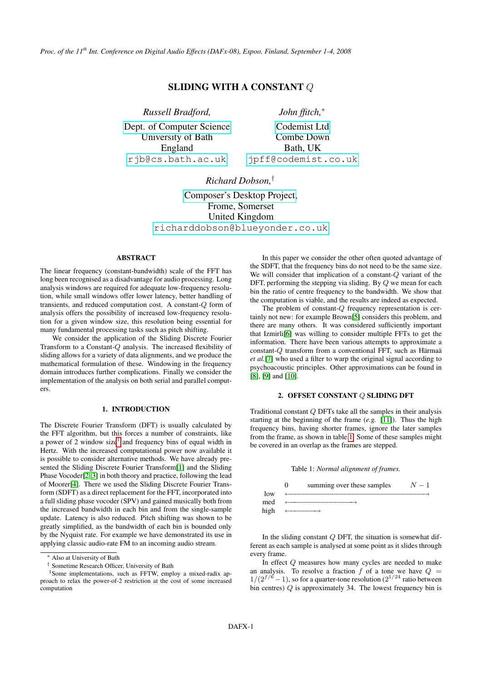*Proc. of the 11th Int. Conference on Digital Audio Effects (DAFx-08), Espoo, Finland, September 1-4, 2008*

## SLIDING WITH A CONSTANT Q

*Russell Bradford,*

[Dept. of Computer Science]( http://www.cs.bath.ac.uk/rjb/) University of Bath England [rjb@cs.bath.ac.uk](mailto:rjb@cs.bath.ac.uk)

*John ffitch,*<sup>∗</sup>

[Codemist Ltd](http://www.cs,bath.ac.uk/jpff/) Combe Down Bath, UK [jpff@codemist.co.uk](mailto:jpff@codemist.co.uk)

*Richard Dobson,*†

[Composer's Desktop Project,](http://people.bath.ac.uk/masrwd/) Frome, Somerset United Kingdom [richarddobson@blueyonder.co.uk](mailto:richarddobson@blueyonder.co.uk)

## ABSTRACT

The linear frequency (constant-bandwidth) scale of the FFT has long been recognised as a disadvantage for audio processing. Long analysis windows are required for adequate low-frequency resolution, while small windows offer lower latency, better handling of transients, and reduced computation cost. A constant-Q form of analysis offers the possibility of increased low-frequency resolution for a given window size, this resolution being essential for many fundamental processing tasks such as pitch shifting.

We consider the application of the Sliding Discrete Fourier Transform to a Constant-Q analysis. The increased flexibility of sliding allows for a variety of data alignments, and we produce the mathematical formulation of these. Windowing in the frequency domain introduces further complications. Finally we consider the implementation of the analysis on both serial and parallel computers.

#### 1. INTRODUCTION

The Discrete Fourier Transform (DFT) is usually calculated by the FFT algorithm, but this forces a number of constraints, like a power of 2 window size<sup>[1](#page-1-0)</sup> and frequency bins of equal width in Hertz. With the increased computational power now available it is possible to consider alternative methods. We have already presented the Sliding Discrete Fourier Transform[\[1\]](#page-6-0) and the Sliding Phase Vocoder[\[2,](#page-6-1) [3\]](#page-6-2) in both theory and practice, following the lead of Moorer[\[4\]](#page-7-0). There we used the Sliding Discrete Fourier Transform (SDFT) as a direct replacement for the FFT, incorporated into a full sliding phase vocoder (SPV) and gained musically both from the increased bandwidth in each bin and from the single-sample update. Latency is also reduced. Pitch shifting was shown to be greatly simplified, as the bandwidth of each bin is bounded only by the Nyquist rate. For example we have demonstrated its use in applying classic audio-rate FM to an incoming audio stream.

In this paper we consider the other often quoted advantage of the SDFT, that the frequency bins do not need to be the same size. We will consider that implication of a constant-Q variant of the DFT, performing the stepping via sliding. By Q we mean for each bin the ratio of centre frequency to the bandwidth. We show that the computation is viable, and the results are indeed as expected.

The problem of constant-Q frequency representation is certainly not new: for example Brown[\[5\]](#page-7-1) considers this problem, and there are many others. It was considered sufficiently important that Izmirli[\[6\]](#page-7-2) was willing to consider multiple FFTs to get the information. There have been various attempts to approximate a constant-Q transform from a conventional FFT, such as Härmaä *et al.*[\[7\]](#page-7-3) who used a filter to warp the original signal according to psychoacoustic principles. Other approximations can be found in [\[8\]](#page-7-4), [\[9\]](#page-7-5) and [\[10\]](#page-7-6).

#### 2. OFFSET CONSTANT Q SLIDING DFT

Traditional constant Q DFTs take all the samples in their analysis starting at the beginning of the frame (*e.g.* [\[11\]](#page-7-7)). Thus the high frequency bins, having shorter frames, ignore the later samples from the frame, as shown in table [1.](#page-1-1) Some of these samples might be covered in an overlap as the frames are stepped.

<span id="page-1-1"></span>

|      | summing over these samples | $N-1$ |
|------|----------------------------|-------|
| low  |                            |       |
| med  |                            |       |
| high |                            |       |

In the sliding constant  $Q$  DFT, the situation is somewhat different as each sample is analysed at some point as it slides through every frame.

In effect Q measures how many cycles are needed to make an analysis. To resolve a fraction f of a tone we have  $Q =$  $1/(2^{f/6}-1)$ , so for a quarter-tone resolution  $(2^{1/24})$  ratio between bin centres)  $Q$  is approximately 34. The lowest frequency bin is

<sup>∗</sup> Also at University of Bath

<span id="page-1-0"></span><sup>†</sup> Sometime Research Officer, University of Bath

<sup>&</sup>lt;sup>1</sup>Some implementations, such as FFTW, employ a mixed-radix approach to relax the power-of-2 restriction at the cost of some increased computation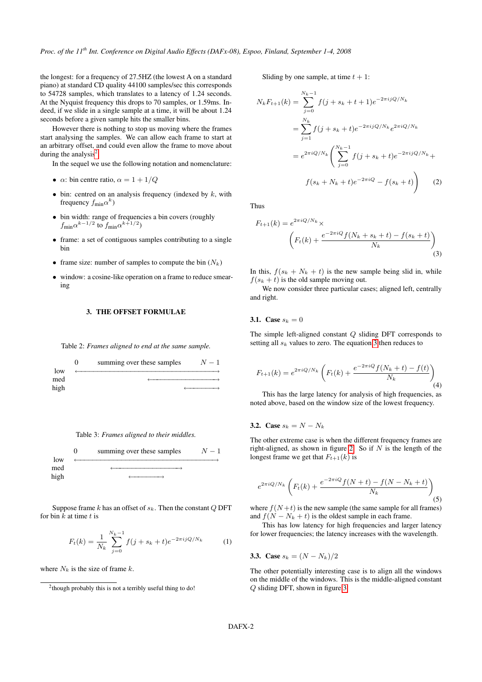the longest: for a frequency of 27.5HZ (the lowest A on a standard piano) at standard CD quality 44100 samples/sec this corresponds to 54728 samples, which translates to a latency of 1.24 seconds. At the Nyquist frequency this drops to 70 samples, or 1.59ms. Indeed, if we slide in a single sample at a time, it will be about 1.24 seconds before a given sample hits the smaller bins.

However there is nothing to stop us moving where the frames start analysing the samples. We can allow each frame to start at an arbitrary offset, and could even allow the frame to move about during the analysis<sup>[2](#page-2-0)</sup>.

In the sequel we use the following notation and nomenclature:

- $\alpha$ : bin centre ratio,  $\alpha = 1 + 1/Q$
- $\bullet$  bin: centred on an analysis frequency (indexed by  $k$ , with frequency  $f_{\text{min}}\alpha^k$ )
- bin width: range of frequencies a bin covers (roughly  $f_{\text{min}} \alpha^{k-1/2}$  to  $f_{\text{min}} \alpha^{k+1/2}$
- frame: a set of contiguous samples contributing to a single bin
- frame size: number of samples to compute the bin  $(N_k)$
- window: a cosine-like operation on a frame to reduce smearing

#### 3. THE OFFSET FORMULAE

<span id="page-2-2"></span>Table 2: *Frames aligned to end at the same sample.*

|      | summing over these samples | $N-1$ |
|------|----------------------------|-------|
| low  |                            |       |
| med  |                            |       |
| high |                            |       |



<span id="page-2-3"></span>

Suppose frame  $k$  has an offset of  $s_k$ . Then the constant  $Q$  DFT for bin  $k$  at time  $t$  is

$$
F_t(k) = \frac{1}{N_k} \sum_{j=0}^{N_k - 1} f(j + s_k + t) e^{-2\pi i j Q/N_k}
$$
 (1)

where  $N_k$  is the size of frame k.

Sliding by one sample, at time  $t + 1$ :

$$
N_k F_{t+1}(k) = \sum_{j=0}^{N_k - 1} f(j + s_k + t + 1) e^{-2\pi i j Q/N_k}
$$
  
= 
$$
\sum_{j=1}^{N_k} f(j + s_k + t) e^{-2\pi i j Q/N_k} e^{2\pi i Q/N_k}
$$
  
= 
$$
e^{2\pi i Q/N_k} \left( \sum_{j=0}^{N_k - 1} f(j + s_k + t) e^{-2\pi i j Q/N_k} + f(s_k + N_k + t) e^{-2\pi i Q} - f(s_k + t) \right)
$$
 (2)

Thus

<span id="page-2-1"></span>
$$
F_{t+1}(k) = e^{2\pi i Q/N_k} \times \left( F_t(k) + \frac{e^{-2\pi i Q} f(N_k + s_k + t) - f(s_k + t)}{N_k} \right)
$$
\n(3)

In this,  $f(s_k + N_k + t)$  is the new sample being slid in, while  $f(s_k + t)$  is the old sample moving out.

We now consider three particular cases; aligned left, centrally and right.

#### **3.1.** Case  $s_k = 0$

The simple left-aligned constant Q sliding DFT corresponds to setting all  $s_k$  values to zero. The equation [3](#page-2-1) then reduces to

$$
F_{t+1}(k) = e^{2\pi i Q/N_k} \left( F_t(k) + \frac{e^{-2\pi i Q} f(N_k + t) - f(t)}{N_k} \right)
$$
\n(4)

This has the large latency for analysis of high frequencies, as noted above, based on the window size of the lowest frequency.

#### 3.2. Case  $s_k = N - N_k$

The other extreme case is when the different frequency frames are right-aligned, as shown in figure [2.](#page-2-2) So if  $N$  is the length of the longest frame we get that  $F_{t+1}(k)$  is

$$
e^{2\pi i Q/N_k} \left( F_t(k) + \frac{e^{-2\pi i Q} f(N+t) - f(N - N_k + t)}{N_k} \right) \tag{5}
$$

where  $f(N+t)$  is the new sample (the same sample for all frames) and  $f(N - N_k + t)$  is the oldest sample in each frame.

This has low latency for high frequencies and larger latency for lower frequencies; the latency increases with the wavelength.

**3.3. Case** 
$$
s_k = (N - N_k)/2
$$

The other potentially interesting case is to align all the windows on the middle of the windows. This is the middle-aligned constant Q sliding DFT, shown in figure [3:](#page-2-3)

<span id="page-2-0"></span> $2$ though probably this is not a terribly useful thing to do!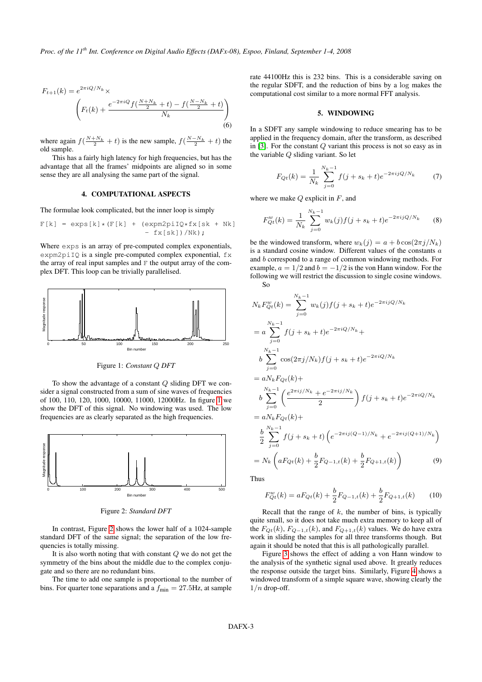$$
F_{t+1}(k) = e^{2\pi i Q/N_k} \times \left( F_t(k) + \frac{e^{-2\pi i Q} f(\frac{N+N_k}{2} + t) - f(\frac{N-N_k}{2} + t)}{N_k} \right)
$$
\n(6)

where again  $f(\frac{N+N_k}{2}+t)$  is the new sample,  $f(\frac{N-N_k}{2}+t)$  the old sample.

This has a fairly high latency for high frequencies, but has the advantage that all the frames' midpoints are aligned so in some sense they are all analysing the same part of the signal.

#### 4. COMPUTATIONAL ASPECTS

The formulae look complicated, but the inner loop is simply

$$
F[k] = \exp[s[k] * (F[k] + (\exp[m2pi]Q * fx[sk + Nk)] - fx[sk]) / Nk);
$$

Where  $\exp$ s is an array of pre-computed complex exponentials, expm2piIQ is a single pre-computed complex exponential,  $f \times$ the array of real input samples and  $F$  the output array of the complex DFT. This loop can be trivially parallelised.

<span id="page-3-0"></span>

Figure 1: *Constant* Q *DFT*

To show the advantage of a constant  $Q$  sliding DFT we consider a signal constructed from a sum of sine waves of frequencies of 100, 110, 120, 1000, 10000, 11000, 12000Hz. In figure [1](#page-3-0) we show the DFT of this signal. No windowing was used. The low frequencies are as clearly separated as the high frequencies.

<span id="page-3-1"></span>

Figure 2: *Standard DFT*

In contrast, Figure [2](#page-3-1) shows the lower half of a 1024-sample standard DFT of the same signal; the separation of the low frequencies is totally missing.

It is also worth noting that with constant Q we do not get the symmetry of the bins about the middle due to the complex conjugate and so there are no redundant bins.

The time to add one sample is proportional to the number of bins. For quarter tone separations and a  $f_{\text{min}} = 27.5 \text{Hz}$ , at sample

rate 44100Hz this is 232 bins. This is a considerable saving on the regular SDFT, and the reduction of bins by a log makes the computational cost similar to a more normal FFT analysis.

#### 5. WINDOWING

In a SDFT any sample windowing to reduce smearing has to be applied in the frequency domain, after the transform, as described in  $[3]$ . For the constant  $Q$  variant this process is not so easy as in the variable Q sliding variant. So let

$$
F_{Qt}(k) = \frac{1}{N_k} \sum_{j=0}^{N_k - 1} f(j + s_k + t) e^{-2\pi i j Q/N_k}
$$
 (7)

where we make  $Q$  explicit in  $F$ , and

$$
F_{Qt}^{w}(k) = \frac{1}{N_k} \sum_{j=0}^{N_k - 1} w_k(j) f(j + s_k + t) e^{-2\pi i jQ/N_k}
$$
 (8)

be the windowed transform, where  $w_k(j) = a + b \cos(2\pi j/N_k)$ is a standard cosine window. Different values of the constants  $a$ and b correspond to a range of common windowing methods. For example,  $a = 1/2$  and  $b = -1/2$  is the von Hann window. For the following we will restrict the discussion to single cosine windows. So

$$
N_k F_{Qt}^w(k) = \sum_{j=0}^{N_k - 1} w_k(j) f(j + s_k + t) e^{-2\pi i j Q/N_k}
$$
  
\n
$$
= a \sum_{j=0}^{N_k - 1} f(j + s_k + t) e^{-2\pi i Q/N_k} +
$$
  
\n
$$
b \sum_{j=0}^{N_k - 1} \cos(2\pi j/N_k) f(j + s_k + t) e^{-2\pi i Q/N_k}
$$
  
\n
$$
= a N_k F_{Qt}(k) +
$$
  
\n
$$
b \sum_{j=0}^{N_k - 1} \left( \frac{e^{2\pi i j/N_k} + e^{-2\pi i j/N_k}}{2} \right) f(j + s_k + t) e^{-2\pi i Q/N_k}
$$
  
\n
$$
= a N_k F_{Qt}(k) +
$$
  
\n
$$
\frac{b}{2} \sum_{j=0}^{N_k - 1} f(j + s_k + t) \left( e^{-2\pi i j (Q - 1)/N_k} + e^{-2\pi i j (Q + 1)/N_k} \right)
$$
  
\n
$$
= N_k \left( a F_{Qt}(k) + \frac{b}{2} F_{Q - 1,t}(k) + \frac{b}{2} F_{Q + 1,t}(k) \right) \tag{9}
$$

Thus

$$
F_{Qt}^{w}(k) = aF_{Qt}(k) + \frac{b}{2}F_{Q-1,t}(k) + \frac{b}{2}F_{Q+1,t}(k)
$$
 (10)

Recall that the range of  $k$ , the number of bins, is typically quite small, so it does not take much extra memory to keep all of the  $F_{Qt}(k)$ ,  $F_{Q-1,t}(k)$ , and  $F_{Q+1,t}(k)$  values. We do have extra work in sliding the samples for all three transforms though. But again it should be noted that this is all pathologically parallel.

Figure [3](#page-4-0) shows the effect of adding a von Hann window to the analysis of the synthetic signal used above. It greatly reduces the response outside the target bins. Similarly, Figure [4](#page-4-1) shows a windowed transform of a simple square wave, showing clearly the  $1/n$  drop-off.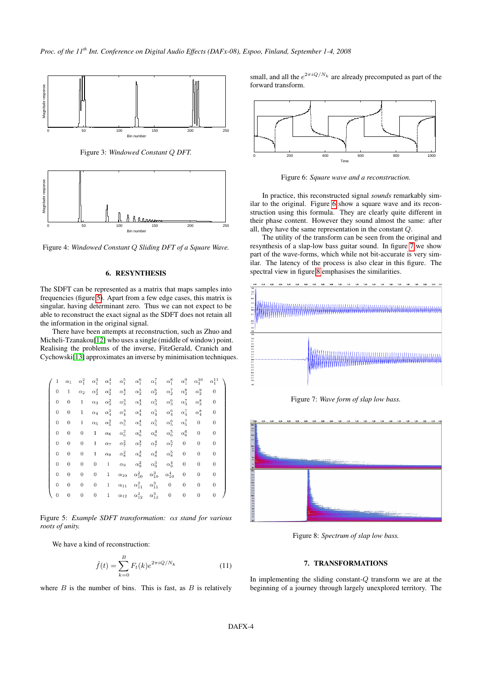<span id="page-4-0"></span>

Figure 3: *Windowed Constant* Q *DFT.*

<span id="page-4-1"></span>

Figure 4: *Windowed Constant* Q *Sliding DFT of a Square Wave.*

## 6. RESYNTHESIS

The SDFT can be represented as a matrix that maps samples into frequencies (figure [5\)](#page-4-2). Apart from a few edge cases, this matrix is singular, having determinant zero. Thus we can not expect to be able to reconstruct the exact signal as the SDFT does not retain all the information in the original signal.

There have been attempts at reconstruction, such as Zhuo and Micheli-Tzanakou[\[12\]](#page-7-8) who uses a single (middle of window) point. Realising the problems of the inverse, FitzGerald, Cranich and Cychowski[\[13\]](#page-7-9) approximates an inverse by minimisation techniques.

<span id="page-4-2"></span>

| 1            | $\alpha_1$       | $\alpha_1^2$     | $\alpha_1^3$ | $\alpha_1^4$ | $\alpha_1^5$  | $\alpha_1^6$                      | $\alpha_1^7$       | $\alpha_1^8$     | $\alpha_1^9$     | $\alpha_1^{10}$  | $\alpha_1^{11}$ |  |
|--------------|------------------|------------------|--------------|--------------|---------------|-----------------------------------|--------------------|------------------|------------------|------------------|-----------------|--|
| 0            | 1                | $\alpha_2$       | $\alpha_2^2$ | $\alpha_2^3$ | $\alpha_2^4$  | $\alpha_2^5$                      | $\alpha_2^6$       | $\alpha_2^7$     | $\alpha_2^8$     | $\alpha_2^9$     | 0               |  |
| $\mathbf{0}$ | $\boldsymbol{0}$ | 1                | $\alpha_3$   | $\alpha_3^2$ | $\alpha_3^3$  | $\alpha_3^4$                      | $\alpha_{3}^{5}$   | $\alpha_{3}^{6}$ | $\alpha_2^7$     | $\alpha_{3}^{8}$ | $\bf{0}$        |  |
| 0            | 0                | 1                | $\alpha_4$   | $\alpha_4^2$ | $\alpha_4^3$  | $\alpha_4^4$                      | $\alpha_4^5$       | $\alpha_4^6$     | $\alpha_4^7$     | $\alpha_4^8$     | $\bf{0}$        |  |
| 0            | 0                | 1                | $\alpha_5$   | $\alpha_5^2$ | $\alpha_5^3$  | $\alpha_5^4$                      | $\alpha_5^5$       | $\alpha_5^6$     | $\alpha_{5}^{7}$ | 0                | $\bf{0}$        |  |
| $\mathbf{0}$ | $\boldsymbol{0}$ | $\boldsymbol{0}$ | 1            | $\alpha_6$   | $\alpha_6^2$  | $\alpha_6^3$                      | $\alpha_6^4$       | $\alpha_6^5$     | $\alpha_6^6$     | $\bf{0}$         | 0               |  |
| $\mathbf{0}$ | 0                | 0                | 1            | $\alpha_7$   | $\alpha_7^2$  | $\alpha_7^3$                      | $\alpha_7^4$       | $\alpha_7^5$     | $\bf{0}$         | 0                | $\bf{0}$        |  |
| $\mathbf{0}$ | $\boldsymbol{0}$ | $\boldsymbol{0}$ | 1            | $\alpha_8$   | $\alpha_8^2$  | $\alpha_8^3$                      | $\alpha_{\rm g}^4$ | $\alpha_8^5$     | 0                | $\bf{0}$         | 0               |  |
| $\mathbf{0}$ | $\boldsymbol{0}$ | 0                | 0            | $\mathbf{1}$ | $\alpha_9$    | $\alpha_9^2$                      | $\alpha_9^3$       | $\alpha_9^4$     | 0                | 0                | 0               |  |
| $\mathbf{0}$ | $\boldsymbol{0}$ | 0                | 0            | 1            | $\alpha_{10}$ | $\alpha_{10}^2$                   | $\alpha_{10}^3$    | $\alpha_{10}^4$  | 0                | 0                | 0               |  |
| $\theta$     | 0                | 0                | 0            | 1            | $\alpha_{11}$ | $\alpha_{11}^2$                   | $\alpha_{11}^3$    | $\boldsymbol{0}$ | 0                | $\bf{0}$         | $\theta$        |  |
| $\mathbf{0}$ | 0                | 0                | 0            | 1            | $\alpha_{12}$ | $\alpha_{12}^2$ – $\alpha_{12}^3$ |                    | 0                | 0                | $\boldsymbol{0}$ | 0               |  |

Figure 5: *Example SDFT transformation:* α*s stand for various roots of unity.*

We have a kind of reconstruction:

$$
\hat{f}(t) = \sum_{k=0}^{B} F_t(k)e^{2\pi i Q/N_k}
$$
\n(11)

where  $B$  is the number of bins. This is fast, as  $B$  is relatively

small, and all the  $e^{2\pi i Q/N_k}$  are already precomputed as part of the forward transform.

<span id="page-4-3"></span>

Figure 6: *Square wave and a reconstruction.*

In practice, this reconstructed signal *sounds* remarkably similar to the original. Figure [6](#page-4-3) show a square wave and its reconstruction using this formula. They are clearly quite different in their phase content. However they sound almost the same: after all, they have the same representation in the constant Q.

The utility of the transform can be seen from the original and resynthesis of a slap-low bass guitar sound. In figure [7](#page-4-4) we show part of the wave-forms, which while not bit-accurate is very similar. The latency of the process is also clear in this figure. The spectral view in figure [8](#page-4-5) emphasises the similarities.

<span id="page-4-4"></span>

Figure 7: *Wave form of slap low bass.*

<span id="page-4-5"></span>

Figure 8: *Spectrum of slap low bass.*

## 7. TRANSFORMATIONS

In implementing the sliding constant- $Q$  transform we are at the beginning of a journey through largely unexplored territory. The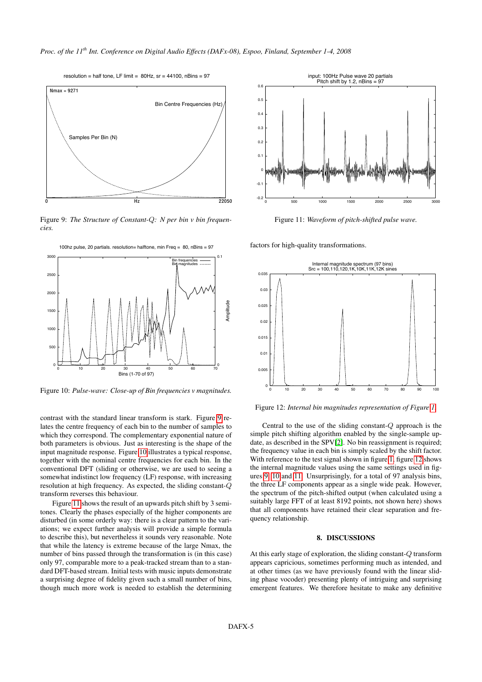<span id="page-5-0"></span>

Figure 9: *The Structure of Constant-*Q*: N per bin v bin frequencies.*

<span id="page-5-1"></span>

Figure 10: *Pulse-wave: Close-up of Bin frequencies v magnitudes.*

contrast with the standard linear transform is stark. Figure [9](#page-5-0) relates the centre frequency of each bin to the number of samples to which they correspond. The complementary exponential nature of both parameters is obvious. Just as interesting is the shape of the input magnitude response. Figure [10](#page-5-1) illustrates a typical response, together with the nominal centre frequencies for each bin. In the conventional DFT (sliding or otherwise, we are used to seeing a somewhat indistinct low frequency (LF) response, with increasing resolution at high frequency. As expected, the sliding constant-Q transform reverses this behaviour.

Figure [11](#page-5-2) shows the result of an upwards pitch shift by 3 semitones. Clearly the phases especially of the higher components are disturbed (in some orderly way: there is a clear pattern to the variations; we expect further analysis will provide a simple formula to describe this), but nevertheless it sounds very reasonable. Note that while the latency is extreme because of the large Nmax, the number of bins passed through the transformation is (in this case) only 97, comparable more to a peak-tracked stream than to a standard DFT-based stream. Initial tests with music inputs demonstrate a surprising degree of fidelity given such a small number of bins, though much more work is needed to establish the determining

<span id="page-5-2"></span>

Figure 11: *Waveform of pitch-shifted pulse wave.*

factors for high-quality transformations.

<span id="page-5-3"></span>

Figure 12: *Internal bin magnitudes representation of Figure [1.](#page-3-0)*

Central to the use of the sliding constant-Q approach is the simple pitch shifting algorithm enabled by the single-sample update, as described in the SPV[\[2\]](#page-6-1). No bin reassignment is required; the frequency value in each bin is simply scaled by the shift factor. With reference to the test signal shown in figure [1,](#page-3-0) figure [12](#page-5-3) shows the internal magnitude values using the same settings used in figures [9,](#page-5-0) [10](#page-5-1) and [11.](#page-5-2) Unsurprisingly, for a total of 97 analysis bins, the three LF components appear as a single wide peak. However, the spectrum of the pitch-shifted output (when calculated using a suitably large FFT of at least 8192 points, not shown here) shows that all components have retained their clear separation and frequency relationship.

## 8. DISCUSSIONS

At this early stage of exploration, the sliding constant-Q transform appears capricious, sometimes performing much as intended, and at other times (as we have previously found with the linear sliding phase vocoder) presenting plenty of intriguing and surprising emergent features. We therefore hesitate to make any definitive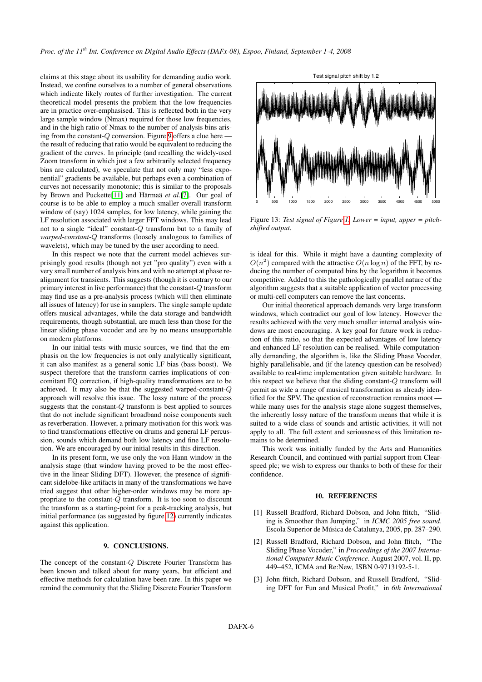claims at this stage about its usability for demanding audio work. Instead, we confine ourselves to a number of general observations which indicate likely routes of further investigation. The current theoretical model presents the problem that the low frequencies are in practice over-emphasised. This is reflected both in the very large sample window (Nmax) required for those low frequencies, and in the high ratio of Nmax to the number of analysis bins arising from the constant- $Q$  conversion. Figure [9](#page-5-0) offers a clue here the result of reducing that ratio would be equivalent to reducing the gradient of the curves. In principle (and recalling the widely-used Zoom transform in which just a few arbitrarily selected frequency bins are calculated), we speculate that not only may "less exponential" gradients be available, but perhaps even a combination of curves not necessarily monotonic; this is similar to the proposals by Brown and Puckette[\[11\]](#page-7-7) and Härmaä *et al.*[\[7\]](#page-7-3). Our goal of course is to be able to employ a much smaller overall transform window of (say) 1024 samples, for low latency, while gaining the LF resolution associated with larger FFT windows. This may lead not to a single "ideal" constant-Q transform but to a family of *warped-constant-*Q transforms (loosely analogous to families of wavelets), which may be tuned by the user according to need.

In this respect we note that the current model achieves surprisingly good results (though not yet "pro quality") even with a very small number of analysis bins and with no attempt at phase realignment for transients. This suggests (though it is contrary to our primary interest in live performance) that the constant-Q transform may find use as a pre-analysis process (which will then eliminate all issues of latency) for use in samplers. The single sample update offers musical advantages, while the data storage and bandwidth requirements, though substantial, are much less than those for the linear sliding phase vocoder and are by no means unsupportable on modern platforms.

In our initial tests with music sources, we find that the emphasis on the low frequencies is not only analytically significant, it can also manifest as a general sonic LF bias (bass boost). We suspect therefore that the transform carries implications of concomitant EQ correction, if high-quality transformations are to be achieved. It may also be that the suggested warped-constant-Q approach will resolve this issue. The lossy nature of the process suggests that the constant-Q transform is best applied to sources that do not include significant broadband noise components such as reverberation. However, a primary motivation for this work was to find transformations effective on drums and general LF percussion, sounds which demand both low latency and fine LF resolution. We are encouraged by our initial results in this direction.

In its present form, we use only the von Hann window in the analysis stage (that window having proved to be the most effective in the linear Sliding DFT). However, the presence of significant sidelobe-like artifacts in many of the transformations we have tried suggest that other higher-order windows may be more appropriate to the constant-Q transform. It is too soon to discount the transform as a starting-point for a peak-tracking analysis, but initial performance (as suggested by figure [12\)](#page-5-3) currently indicates against this application.

## 9. CONCLUSIONS.

The concept of the constant-Q Discrete Fourier Transform has been known and talked about for many years, but efficient and effective methods for calculation have been rare. In this paper we remind the community that the Sliding Discrete Fourier Transform



Figure 13: *Test signal of Figure [1.](#page-3-0) Lower = input, upper = pitchshifted output.*

is ideal for this. While it might have a daunting complexity of  $O(n^2)$  compared with the attractive  $O(n \log n)$  of the FFT, by reducing the number of computed bins by the logarithm it becomes competitive. Added to this the pathologically parallel nature of the algorithm suggests that a suitable application of vector processing or multi-cell computers can remove the last concerns.

Our initial theoretical approach demands very large transform windows, which contradict our goal of low latency. However the results achieved with the very much smaller internal analysis windows are most encouraging. A key goal for future work is reduction of this ratio, so that the expected advantages of low latency and enhanced LF resolution can be realised. While computationally demanding, the algorithm is, like the Sliding Phase Vocoder, highly parallelisable, and (if the latency question can be resolved) available to real-time implementation given suitable hardware. In this respect we believe that the sliding constant-Q transform will permit as wide a range of musical transformation as already identified for the SPV. The question of reconstruction remains moot while many uses for the analysis stage alone suggest themselves, the inherently lossy nature of the transform means that while it is suited to a wide class of sounds and artistic activities, it will not apply to all. The full extent and seriousness of this limitation remains to be determined.

This work was initially funded by the Arts and Humanities Research Council, and continued with partial support from Clearspeed plc; we wish to express our thanks to both of these for their confidence.

## 10. REFERENCES

- <span id="page-6-0"></span>[1] Russell Bradford, Richard Dobson, and John ffitch, "Sliding is Smoother than Jumping," in *ICMC 2005 free sound*. Escola Superior de Música de Catalunya, 2005, pp. 287–290.
- <span id="page-6-1"></span>[2] Russell Bradford, Richard Dobson, and John ffitch, "The Sliding Phase Vocoder," in *Proceedings of the 2007 International Computer Music Conference*. August 2007, vol. II, pp. 449–452, ICMA and Re:New, ISBN 0-9713192-5-1.
- <span id="page-6-2"></span>[3] John ffitch, Richard Dobson, and Russell Bradford, "Sliding DFT for Fun and Musical Profit," in *6th International*

#### Test signal pitch shift by 1.2